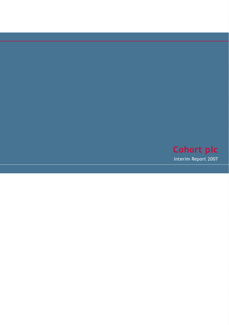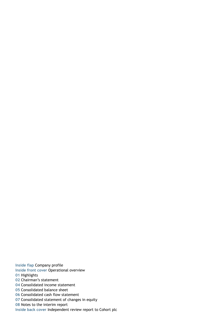**Inside flap** Company profile **Inside front cover** Operational overview Highlights Chairman's statement Consolidated income statement Consolidated balance sheet Consolidated cash flow statement Consolidated statement of changes in equity Notes to the interim report

**Inside back cover** Independent review report to Cohort plc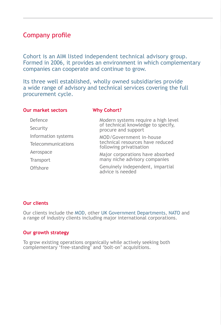## Company profile

Cohort is an AIM listed independent technical advisory group. Formed in 2006, it provides an environment in which complementary companies can cooperate and continue to grow.

Its three well established, wholly owned subsidiaries provide a wide range of advisory and technical services covering the full procurement cycle.

| <b>Our market sectors</b> | <b>Why Cohort?</b>                                          |
|---------------------------|-------------------------------------------------------------|
| Defence                   | Modern systems require a high level                         |
| Security                  | of technical knowledge to specify,<br>procure and support   |
| Information systems       | MOD/Government in-house                                     |
| Telecommunications        | technical resources have reduced<br>following privatisation |
| Aerospace                 | Major corporations have absorbed                            |
| Transport                 | many niche advisory companies                               |
| Offshore                  | Genuinely independent, impartial<br>advice is needed        |

### **Our clients**

Our clients include the MOD, other UK Government Departments, NATO and a range of industry clients including major international corporations.

### **Our growth strategy**

To grow existing operations organically while actively seeking both complementary 'free‑standing' and 'bolt‑on' acquisitions.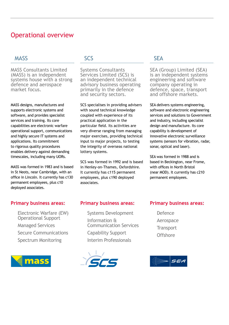## Operational overview

### **MASS**

MASS Consultants Limited (MASS) is an independent systems house with a strong defence and aerospace market focus.

MASS designs, manufactures and supports electronic systems and software, and provides specialist services and training. Its core capabilities are electronic warfare operational support, communications and highly secure IT systems and applications. Its commitment to rigorous quality procedures enables delivery against demanding timescales, including many UORs.

MASS was formed in 1983 and is based in St Neots, near Cambridge, with an office in Lincoln. It currently has c130 permanent employees, plus c10 deployed associates.

### **Primary business areas:**

Electronic Warfare (EW) Operational Support Managed Services Secure Communications Spectrum Monitoring



### SCS

Systems Consultants Services Limited (SCS) is an independent technical advisory business operating primarily in the defence and security sectors.

SCS specialises in providing advisers with sound technical knowledge coupled with experience of its practical application in the particular field. Its activities are very diverse ranging from managing major exercises, providing technical input to major projects, to testing the integrity of overseas national lottery systems.

SCS was formed in 1992 and is based in Henley-on-Thames, Oxfordshire. It currently has c115 permanent employees, plus c190 deployed associates.

### **SFA**

SEA (Group) Limited (SEA) is an independent systems engineering and software company operating in defence, space, transport and offshore markets.

SEA delivers systems engineering, software and electronic engineering services and solutions to Government and industry, including specialist design and manufacture. Its core capability is development of innovative electronic surveillance systems (sensors for vibration, radar, sonar, optical and laser).

SEA was formed in 1988 and is based in Beckington, near Frome, with offices in North Bristol (near MOD). It currently has c210 permanent employees.

### **Primary business areas:**

Systems Development Information &<br>Communication Services Capability Support Interim Professionals



### **Primary business areas:**

Defence Aerospace **Transport Offshore** 

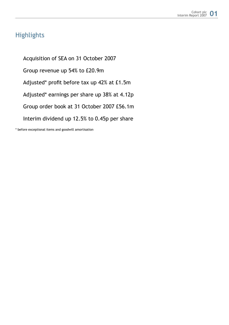## **Highlights**

 Acquisition of SEA on 31 October 2007 Group revenue up 54% to £20.9m Adjusted\* profit before tax up 42% at £1.5m Adjusted\* earnings per share up 38% at 4.12p Group order book at 31 October 2007 £56.1m Interim dividend up 12.5% to 0.45p per share

\* before exceptional items and goodwill amortisation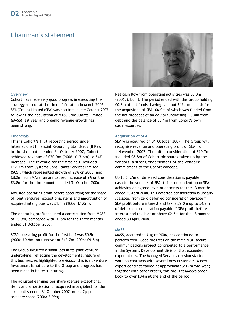## Chairman's statement

#### **Overview**

Cohort has made very good progress in executing the strategy set out at the time of flotation in March 2006. SEA (Group) Limited (SEA) was acquired in late October 2007 following the acquisition of MASS Consultants Limited (MASS) last year and organic revenue growth has been strong.

#### **Financials**

This is Cohort's first reporting period under International Financial Reporting Standards (IFRS). In the six months ended 31 October 2007, Cohort achieved revenue of £20.9m (2006: £13.6m), a 54% increase. The revenue for the first half included £12.7m from Systems Consultants Services Limited (SCS), which represented growth of 29% on 2006, and £8.2m from MASS, an annualised increase of 9% on the £3.8m for the three months ended 31 October 2006.

Adjusted operating profit before accounting for the share of joint ventures, exceptional items and amortisation of acquired intangibles was £1.4m (2006: £1.0m).

The operating profit included a contribution from MASS of £0.9m, compared with £0.5m for the three months ended 31 October 2006.

SCS's operating profit for the first half was £0.9m (2006: £0.9m) on turnover of £12.7m (2006: £9.8m).

The Group incurred a small loss in its joint venture undertaking, reflecting the developmental nature of this business. As highlighted previously, this joint venture investment is not core to the Group and progress has been made in its restructuring.

The adjusted earnings per share (before exceptional items and amortisation of acquired intangibles) for the six months ended 31 October 2007 are 4.12p per ordinary share (2006: 2.99p).



Net cash flow from operating activities was £0.3m (2006: £1.0m). The period ended with the Group holding £0.3m of net funds, having paid out £12.1m in cash for the acquisition of SEA, £6.0m of which was funded from the net proceeds of an equity fundraising, £3.0m from debt and the balance of £3.1m from Cohort's own cash resources.

#### **Acquisition of sea**

SEA was acquired on 31 October 2007. The Group will recognise revenue and operating profit of SEA from 1 November 2007. The initial consideration of £20.7m included £8.8m of Cohort plc shares taken up by the vendors, a strong endorsement of the vendors' commitment to the Cohort concept.

Up to £4.7m of deferred consideration is payable in cash to the vendors of SEA; this is dependent upon SEA achieving an agreed level of earnings for the 13 months ended 30 April 2008. This deferred consideration is linearly scalable, from zero deferred consideration payable if SEA profit before interest and tax is £2.0m up to £4.7m of deferred consideration payable if SEA profit before interest and tax is at or above £2.5m for the 13 months ended 30 April 2008.

#### **MASS**

MASS, acquired in August 2006, has continued to perform well. Good progress on the main MOD secure communications project contributed to a performance in the Systems Development division that exceeded expectations. The Managed Services division started work on contracts with several new customers. A new export contract valued at approximately £7m was won; together with other orders, this brought MASS's order book to over £34m at the end of the period.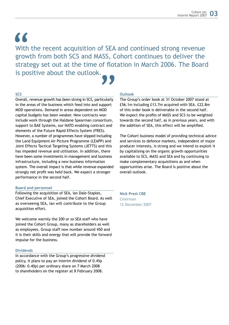$\epsilon$ 

With the recent acquisition of SEA and continued strong revenue growth from both SCS and MASS, Cohort continues to deliver the strategy set out at the time of flotation in March 2006. The Board is positive about the outlook.

#### **SCS**

Overall, revenue growth has been strong in SCS, particularly in the areas of the business which feed into and support MOD operations. Demand in areas dependent on MOD capital budgets has been weaker. New contracts won include work through the Haldane Spearman consortium, support to BAE Systems, our NATO enabling contract and elements of the Future Rapid Effects System (FRES). However, a number of programmes have slipped including the Land Equipment Air Picture Programme (LEAPP) and Joint Effects Tactical Targeting Systems (JETTS) and this has impeded revenue and utilisation. In addition, there have been some investments in management and business infrastructure, including a new business information system. The overall impact is that while revenue expanded strongly net profit was held back. We expect a stronger performance in the second half. **99** 

#### **Board and personnel**

Following the acquisition of SEA, Ian Dale-Staples, Chief Executive of SEA, joined the Cohort Board. As well as overseeing SEA, Ian will contribute to the Group acquisition effort.

We welcome warmly the 200 or so SEA staff who have joined the Cohort Group, many as shareholders as well as employees. Group staff now number around 450 and it is their skills and energy that will provide the forward impulse for the business.

#### **Dividends**

In accordance with the Group's progressive dividend policy, it plans to pay an interim dividend of 0.45p (2006: 0.40p) per ordinary share on 7 March 2008 to shareholders on the register at 8 February 2008.

#### **Outlook**

The Group's order book at 31 October 2007 stood at £56.1m including £13.7m acquired with SEA. £22.8m of this order book is deliverable in the second half. We expect the profits of MASS and SCS to be weighted towards the second half, as in previous years, and with the addition of SEA, this effect will be amplified.

The Cohort business model of providing technical advice and services to defence markets, independent of major producer interests, is strong and we intend to exploit it by capitalising on the organic growth opportunities available to SCS, MASS and SEA and by continuing to make complementary acquisitions as and when opportunities arise. The Board is positive about the overall outlook.

**Nick Prest CBE** Chairman 12 December 2007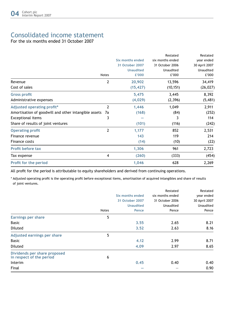# Consolidated income statement

For the six months ended 31 October 2007

|                                                            |                  | Restated         | Restated      |
|------------------------------------------------------------|------------------|------------------|---------------|
|                                                            | Six months ended | six months ended | year ended    |
|                                                            | 31 October 2007  | 31 October 2006  | 30 April 2007 |
|                                                            | <b>Unaudited</b> | Unaudited        | Unaudited     |
| <b>Notes</b>                                               | £'000            | £'000            | £'000         |
| 2<br>Revenue                                               | 20,902           | 13,596           | 34,419        |
| Cost of sales                                              | (15, 427)        | (10, 151)        | (26, 027)     |
| <b>Gross profit</b>                                        | 5,475            | 3,445            | 8,392         |
| Administrative expenses                                    | (4,029)          | (2,396)          | (5, 481)      |
| 2<br>Adjusted operating profit*                            | 1,446            | 1,049            | 2,911         |
| Amortisation of goodwill and other intangible assets<br>7a | (168)            | (84)             | (252)         |
| 3<br><b>Exceptional items</b>                              |                  | 3                | 114           |
| Share of results of joint ventures                         | (101)            | (116)            | (242)         |
| $\mathbf{2}$<br><b>Operating profit</b>                    | 1,177            | 852              | 2,531         |
| Finance revenue                                            | 143              | 119              | 214           |
| Finance costs                                              | (14)             | (10)             | (22)          |
| <b>Profit before tax</b>                                   | 1,306            | 961              | 2,723         |
| 4<br>Tax expense                                           | (260)            | (333)            | (454)         |
| Profit for the period                                      | 1,046            | 628              | 2,269         |

All profit for the period is attributable to equity shareholders and derived from continuing operations.

\* Adjusted operating profit is the operating profit before exceptional items, amortisation of acquired intangibles and share of results of joint ventures.

|                                                          |              |                  | Restated         | Restated      |
|----------------------------------------------------------|--------------|------------------|------------------|---------------|
|                                                          |              | Six months ended | six months ended | year ended    |
|                                                          |              | 31 October 2007  | 31 October 2006  | 30 April 2007 |
|                                                          |              | <b>Unaudited</b> | Unaudited        | Unaudited     |
|                                                          | <b>Notes</b> | Pence            | Pence            | Pence         |
| <b>Earnings per share</b>                                | 5            |                  |                  |               |
| <b>Basic</b>                                             |              | 3.55             | 2.65             | 8.21          |
| Diluted                                                  |              | 3.52             | 2.63             | 8.16          |
| Adjusted earnings per share                              | 5            |                  |                  |               |
| <b>Basic</b>                                             |              | 4.12             | 2.99             | 8.71          |
| Diluted                                                  |              | 4.09             | 2.97             | 8.65          |
| Dividends per share proposed<br>in respect of the period | 6            |                  |                  |               |
| Interim                                                  |              | 0.45             | 0.40             | 0.40          |
| Final                                                    |              |                  |                  | 0.90          |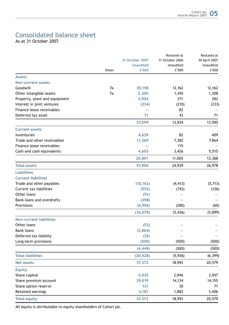# Consolidated balance sheet

As at 31 October 2007

|                                |       |                  | Restated at     | Restated at     |               |
|--------------------------------|-------|------------------|-----------------|-----------------|---------------|
|                                |       |                  | 31 October 2007 | 31 October 2006 | 30 April 2007 |
|                                |       | <b>Unaudited</b> | Unaudited       | Unaudited       |               |
|                                | Notes | £'000            | £'000           | £'000           |               |
| <b>Assets</b>                  |       |                  |                 |                 |               |
| <b>Non-current assets</b>      |       |                  |                 |                 |               |
| Goodwill                       | 7a    | 30,158           | 12,162          | 12,162          |               |
| Other intangible assets        | 7a    | 2,300            | 1,476           | 1,308           |               |
| Property, plant and equipment  |       | 4,904            | 371             | 282             |               |
| Interest in joint ventures     |       | (334)            | (210)           | (233)           |               |
| Finance lease receivables      |       |                  | 82              |                 |               |
| Deferred tax asset             |       | 71               | 43              | 71              |               |
|                                |       | 37,099           | 13,924          | 13,590          |               |
| <b>Current assets</b>          |       |                  |                 |                 |               |
| Inventories                    |       | 4,629            | 82              | 409             |               |
| Trade and other receivables    |       | 11,569           | 7,382           | 7,964           |               |
| Finance lease receivables      |       |                  | 115             |                 |               |
| Cash and cash equivalents      |       | 4,603            | 3,426           | 5,015           |               |
|                                |       | 20,801           | 11,005          | 13,388          |               |
| <b>Total assets</b>            |       | 57,900           | 24,929          | 26,978          |               |
| <b>Liabilities</b>             |       |                  |                 |                 |               |
| <b>Current liabilities</b>     |       |                  |                 |                 |               |
| Trade and other payables       |       | (10, 162)        | (4, 413)        | (5,713)         |               |
| Current tax liabilities        |       | (552)            | (743)           | (126)           |               |
| Other loans                    |       | (51)             |                 |                 |               |
| Bank loans and overdrafts      |       | (358)            |                 |                 |               |
| Provisions                     |       | (4,956)          | (280)           | (60)            |               |
|                                |       | (16, 079)        | (5, 436)        | (5,899)         |               |
| <b>Non-current liabilities</b> |       |                  |                 |                 |               |
| Other loans                    |       | (53)             |                 |                 |               |
| <b>Bank loans</b>              |       | (3,864)          |                 |                 |               |
| Deferred tax liability         |       | (32)             |                 |                 |               |
| Long-term provisions           |       | (500)            | (500)           | (500)           |               |
|                                |       | (4, 449)         | (500)           | (500)           |               |
| <b>Total liabilities</b>       |       | (20, 528)        | (5,936)         | (6, 399)        |               |
| <b>Net assets</b>              |       | 37,372           | 18,993          | 20,579          |               |
| <b>Equity</b>                  |       |                  |                 |                 |               |
| Share capital                  |       | 4,035            | 2,946           | 2,947           |               |
| Share premium account          |       | 29,019           | 14,134          | 14,155          |               |
| Share option reserve           |       | 131              | 30              | 71              |               |
| Retained earnings              |       | 4,187            | 1,883           | 3,406           |               |
| <b>Total equity</b>            |       | 37,372           | 18,993          | 20,579          |               |

All equity is attributable to equity shareholders of Cohort plc.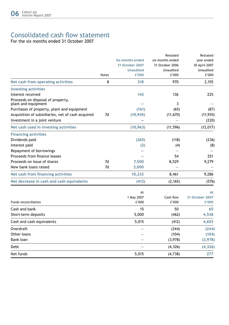# Consolidated cash flow statement

For the six months ended 31 October 2007

|                                                          |              |                         | Restated         | Restated         |
|----------------------------------------------------------|--------------|-------------------------|------------------|------------------|
|                                                          |              | <b>Six months ended</b> | six months ended | year ended       |
|                                                          |              | 31 October 2007         | 31 October 2006  | 30 April 2007    |
|                                                          |              | <b>Unaudited</b>        | Unaudited        | <b>Unaudited</b> |
|                                                          | <b>Notes</b> | £'000                   | £'000            | £'000            |
| Net cash from operating activities                       | 8            | 318                     | 970              | 2,155            |
| <b>Investing activities</b>                              |              |                         |                  |                  |
| Interest received                                        |              | 143                     | 136              | 225              |
| Proceeds on disposal of property,<br>plant and equipment |              |                         | 3                |                  |
| Purchases of property, plant and equipment               |              | (161)                   | (65)             | (87)             |
| Acquisition of subsidiaries, net of cash acquired        | 7d           | (10, 945)               | (11, 670)        | (11, 935)        |
| Investment in a joint venture                            |              |                         |                  | (220)            |
| Net cash used in investing activities                    |              | (10, 963)               | (11, 596)        | (12, 017)        |
| <b>Financing activities</b>                              |              |                         |                  |                  |
| Dividends paid                                           |              | (265)                   | (118)            | (236)            |
| Interest paid                                            |              | (2)                     | (4)              | (8)              |
| Repayment of borrowings                                  |              |                         |                  |                  |
| Proceeds from finance leases                             |              |                         | 54               | 251              |
| Proceeds on issue of shares                              | 7d           | 7,500                   | 8,529            | 9,279            |
| New bank loans raised                                    | 7d           | 3,000                   |                  |                  |
| Net cash from financing activities                       |              | 10,233                  | 8,461            | 9,286            |
| Net decrease in cash and cash equivalents                |              | (412)                   | (2, 165)         | (576)            |
|                                                          |              | At                      |                  | At               |
|                                                          |              | 1 May 2007              | Cash flow        | 31 October 2007  |
| Funds reconciliation                                     |              | £'000                   | £'000            | £'000            |
| Cash and bank                                            |              | 15                      | 50               | 65               |
| Short-term deposits                                      |              | 5,000                   | (462)            | 4,538            |
| Cash and cash equivalents                                |              | 5,015                   | (412)            | 4,603            |
| Overdraft                                                |              |                         | (244)            | (244)            |
| Other loans                                              |              |                         | (104)            | (104)            |
| Bank loan                                                |              |                         | (3,978)          | (3,978)          |
| Debt                                                     |              |                         | (4, 326)         | (4, 326)         |
| Net funds                                                |              | 5,015                   | (4,738)          | 277              |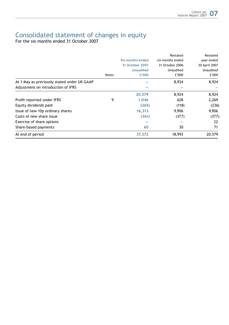## Consolidated statement of changes in equity

For the six months ended 31 October 2007

|                                             |       |                  | Restated         | Restated         |
|---------------------------------------------|-------|------------------|------------------|------------------|
|                                             |       | Six months ended | six months ended | year ended       |
|                                             |       | 31 October 2007  | 31 October 2006  | 30 April 2007    |
|                                             |       | <b>Unaudited</b> | Unaudited        | <b>Unaudited</b> |
|                                             | Notes | £'000            | £'000            | £'000            |
| At 1 May as previously stated under UK GAAP |       |                  | 8.924            | 8.924            |
| Adjustment on introduction of IFRS          |       |                  |                  |                  |
|                                             |       | 20,579           | 8,924            | 8,924            |
| Profit reported under IFRS                  | 9     | 1,046            | 628              | 2,269            |
| Equity dividends paid                       |       | (265)            | (118)            | (236)            |
| Issue of new 10p ordinary shares            |       | 16,313           | 9,906            | 9,906            |
| Costs of new share issue                    |       | (361)            | (377)            | (377)            |
| Exercise of share options                   |       |                  |                  | 22               |
| Share-based payments                        |       | 60               | 30               | 71               |
| At end of period                            |       | 37,372           | 18,993           | 20,579           |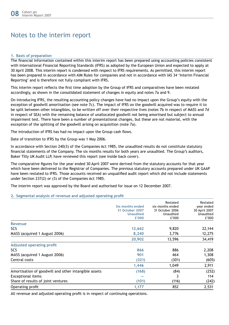## Notes to the interim report

#### **1. Basis of preparation**

The financial information contained within this interim report has been prepared using accounting policies consistent with International Financial Reporting Standards (IFRS) as adopted by the European Union and expected to apply at 30 April 2008. This interim report is condensed with respect to IFRS requirements. As permitted, this interim report has been prepared in accordance with AIM Rules for companies and not in accordance with IAS 34 'Interim Financial Reporting' and is therefore not fully compliant with IFRS.

This interim report reflects the first time adoption by the Group of IFRS and comparatives have been restated accordingly, as shown in the consolidated statement of changes in equity and notes 7a and 9.

On introducing IFRS, the resulting accounting policy changes have had no impact upon the Group's equity with the exception of goodwill amortisation (see note 7c). The impact of IFRS on the goodwill acquired was to require it to be split between other intangibles, to be written off over their respective lives (notes 7b in respect of MASS and 7d in respect of SEA) with the remaining balance of unallocated goodwill not being amortised but subject to annual impairment test. There have been a number of presentational changes, but these are not material, with the exception of the splitting of the goodwill arising on acquisition (note 7a).

The introduction of IFRS has had no impact upon the Group cash flows.

Date of transition to IFRS by the Group was 1 May 2006.

In accordance with Section 240(3) of the Companies Act 1985, the unaudited results do not constitute statutory financial statements of the Company. The six months results for both years are unaudited. The Group's auditors, Baker Tilly UK Audit LLP, have reviewed this report (see inside back cover).

The comparative figures for the year ended 30 April 2007 were derived from the statutory accounts for that year which have been delivered to the Registrar of Companies. The previous statutory accounts prepared under UK GAAP have been restated to IFRS. Those accounts received an unqualified audit report which did not include statements under Section 237(2) or (3) of the Companies Act 1985.

The interim report was approved by the Board and authorised for issue on 12 December 2007.

#### **2. Segmental analysis of revenue and adjusted operating profit**

|                                                      | Six months ended<br>31 October 2007<br><b>Unaudited</b><br>£'000 | Restated<br>six months ended<br>31 October 2006<br>Unaudited<br>£'000 | Restated<br>year ended<br>30 April 2007<br>Unaudited<br>£'000 |
|------------------------------------------------------|------------------------------------------------------------------|-----------------------------------------------------------------------|---------------------------------------------------------------|
| Revenue                                              |                                                                  |                                                                       |                                                               |
| <b>SCS</b>                                           | 12,662                                                           | 9,820                                                                 | 22,144                                                        |
| MASS (acquired 1 August 2006)                        | 8,240                                                            | 3,776                                                                 | 12,275                                                        |
|                                                      | 20,902                                                           | 13,596                                                                | 34,419                                                        |
| Adjusted operating profit                            |                                                                  |                                                                       |                                                               |
| SCS                                                  | 866                                                              | 886                                                                   | 2,208                                                         |
| MASS (acquired 1 August 2006)                        | 901                                                              | 464                                                                   | 1,308                                                         |
| Central costs                                        | (321)                                                            | (301)                                                                 | (605)                                                         |
|                                                      | 1,446                                                            | 1,049                                                                 | 2,911                                                         |
| Amortisation of goodwill and other intangible assets | (168)                                                            | (84)                                                                  | (252)                                                         |
| <b>Exceptional items</b>                             |                                                                  | 3                                                                     | 114                                                           |
| Share of results of joint ventures                   | (101)                                                            | (116)                                                                 | (242)                                                         |
| Operating profit                                     | 1,177                                                            | 852                                                                   | 2,531                                                         |

All revenue and adjusted operating profit is in respect of continuing operations.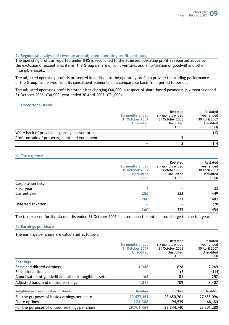#### **2. Segmental analysis of revenue and adjusted operating profit continued**

The operating profit as reported under IFRS is reconciled to the adjusted operating profit as reported above by the exclusion of exceptional items, the Group's share of joint ventures and amortisation of goodwill and other intangible assets.

The adjusted operating profit is presented in addition to the operating profit to provide the trading performance of the Group, as derived from its constituent elements on a comparable basis from period to period.

The adjusted operating profit is stated after charging £60,000 in respect of share-based payments (six months ended 31 October 2006: £30,000, year ended 30 April 2007: £71,000).

#### **3. Exceptional items**

|                                                 | Six months ended<br>31 October 2007<br><b>Unaudited</b><br>£'000 | Restated<br>six months ended<br>31 October 2006<br>Unaudited<br>£'000 | Restated<br>year ended<br>30 April 2007<br>Unaudited<br>£'000 |
|-------------------------------------------------|------------------------------------------------------------------|-----------------------------------------------------------------------|---------------------------------------------------------------|
| Write back of provision against joint ventures  |                                                                  |                                                                       | 113                                                           |
| Profit on sale of property, plant and equipment | -                                                                |                                                                       |                                                               |
|                                                 |                                                                  |                                                                       | 114                                                           |

#### **4. Tax expense**

|                   | Six months ended<br>31 October 2007<br><b>Unaudited</b><br>£'000 | Restated<br>six months ended<br>31 October 2006<br>Unaudited<br>£'000 | Restated<br>year ended<br>30 April 2007<br>Unaudited<br>£'000 |
|-------------------|------------------------------------------------------------------|-----------------------------------------------------------------------|---------------------------------------------------------------|
| Corporation tax:  |                                                                  |                                                                       |                                                               |
| Prior year        | 4                                                                |                                                                       | 33                                                            |
| Current year      | 256                                                              | 333                                                                   | 449                                                           |
|                   | 260                                                              | 333                                                                   | 482                                                           |
| Deferred taxation |                                                                  |                                                                       | (28)                                                          |
|                   | 260                                                              | 333                                                                   | 454                                                           |

The tax expense for the six months ended 31 October 2007 is based upon the anticipated charge for the full year.

#### **5. Earnings per share**

The earnings per share are calculated as follows:

|                  | Restated         | Restated<br>year ended |
|------------------|------------------|------------------------|
| Six months ended | six months ended |                        |
| 31 October 2007  | 31 October 2006  | 30 April 2007          |
| <b>Unaudited</b> | Unaudited        | Unaudited              |
| £'000            |                  | £'000                  |
|                  |                  |                        |
| 1.046            | 628              | 2,269                  |
|                  | (3)              | (114)                  |
| 168              | 84               | 252                    |
| 1.214            | 709              | 2,407                  |
| <b>Number</b>    | Number           | Number                 |
| 29,477,161       | 23,650,201       | 27,633,096             |
| 224,308          | 194,539          | 168,184                |
| 29,701,469       | 23,844,740       | 27,801,280             |
|                  |                  | £'000                  |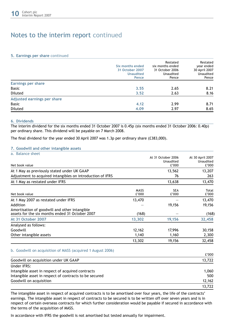## Notes to the interim report continued

#### **5. Earnings per share continued**

|                             | Six months ended<br>31 October 2007<br><b>Unaudited</b><br>Pence | Restated<br>six months ended<br>31 October 2006<br>Unaudited<br>Pence | Restated<br>year ended<br>30 April 2007<br>Unaudited<br>Pence |
|-----------------------------|------------------------------------------------------------------|-----------------------------------------------------------------------|---------------------------------------------------------------|
| Earnings per share          |                                                                  |                                                                       |                                                               |
| <b>Basic</b>                | 3.55                                                             | 2.65                                                                  | 8.21                                                          |
| Diluted                     | 3.52                                                             | 2.63                                                                  | 8.16                                                          |
| Adjusted earnings per share |                                                                  |                                                                       |                                                               |
| <b>Basic</b>                | 4.12                                                             | 2.99                                                                  | 8.71                                                          |
| Diluted                     | 4.09                                                             | 2.97                                                                  | 8.65                                                          |

#### **6. Dividends**

The interim dividend for the six months ended 31 October 2007 is 0.45p (six months ended 31 October 2006: 0.40p) per ordinary share. This dividend will be payable on 7 March 2008.

The final dividend for the year ended 30 April 2007 was 1.3p per ordinary share (£383,000).

#### **7. Goodwill and other intangible assets**

| a. Balance sheet                                           |        |                    |                  |
|------------------------------------------------------------|--------|--------------------|------------------|
|                                                            |        | At 31 October 2006 | At 30 April 2007 |
|                                                            |        | Unaudited          | Unaudited        |
| Net book value                                             |        | £'000              | £'000            |
| At 1 May as previously stated under UK GAAP                |        | 13,562             | 13,207           |
| Adjustment to acquired intangibles on introduction of IFRS |        | 76                 | 263              |
| At 1 May as restated under IFRS                            |        | 13,638             | 13,470           |
|                                                            | MASS   | <b>SEA</b>         | Total            |
| Net book value                                             | £'000  | £'000              | £'000            |
| At 1 May 2007 as restated under IFRS                       | 13,470 |                    | 13,470           |
| Addition                                                   |        | 19,156             | 19,156           |
| Amortisation of goodwill and other intangible              |        |                    |                  |
| assets for the six months ended 31 October 2007            | (168)  |                    | (168)            |
| At 31 October 2007                                         | 13,302 | 19,156             | 32,458           |
| Analysed as follows:                                       |        |                    |                  |
| Goodwill                                                   | 12,162 | 17,996             | 30,158           |
| Other intangible assets                                    | 1,140  | 1,160              | 2,300            |
|                                                            | 13,302 | 19,156             | 32,458           |

#### b. Goodwill on acquisition of MASS (acquired 1 August 2006)

|                                                        | £'000  |
|--------------------------------------------------------|--------|
| Goodwill on acquisition under UK GAAP                  | 13.722 |
| Under IFRS:                                            |        |
| Intangible asset in respect of acquired contracts      | 1.060  |
| Intangible asset in respect of contracts to be secured | 500    |
| Goodwill on acquisition                                | 12.162 |
|                                                        | 13.722 |

The intangible asset in respect of acquired contracts is to be amortised over four years, the life of the contracts' earnings. The intangible asset in respect of contracts to be secured is to be written off over seven years and is in respect of certain overseas contracts for which further consideration would be payable if secured in accordance with the terms of the acquisition of MASS.

In accordance with IFRS the goodwill is not amortised but tested annually for impairment.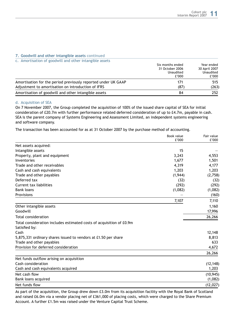#### **7. Goodwill and other intangible assets continued**

| c. Amortisation of goodwill and other intangible assets       |                                     |                             |
|---------------------------------------------------------------|-------------------------------------|-----------------------------|
|                                                               | Six months ended<br>31 October 2006 | Year ended<br>30 April 2007 |
|                                                               | Unaudited<br>£'000                  | Unaudited<br>£'000          |
| Amortisation for the period previously reported under UK GAAP | 171                                 | 515                         |
| Adjustment to amortisation on introduction of IFRS            | (87)                                | (263)                       |
| Amortisation of goodwill and other intangible assets          | 84                                  | 252                         |

#### d. Acquisition of SEA

On 7 November 2007, the Group completed the acquisition of 100% of the issued share capital of SEA for initial consideration of £20.7m with further performance related deferred consideration of up to £4.7m, payable in cash. SEA is the parent company of Systems Engineering and Assessment Limited, an independent systems engineering and software company.

The transaction has been accounted for as at 31 October 2007 by the purchase method of accounting.

|                                                                                       | Book value<br>£'000 | Fair value<br>£'000 |
|---------------------------------------------------------------------------------------|---------------------|---------------------|
| Net assets acquired:                                                                  |                     |                     |
| Intangible assets                                                                     | 15                  |                     |
| Property, plant and equipment                                                         | 3,243               | 4,553               |
| Inventories                                                                           | 1,677               | 1,501               |
| Trade and other receivables                                                           | 4,319               | 4,177               |
| Cash and cash equivalents                                                             | 1,203               | 1,203               |
| Trade and other payables                                                              | (1,944)             | (2,758)             |
| Deferred tax                                                                          | (32)                | (32)                |
| Current tax liabilities                                                               | (292)               | (292)               |
| <b>Bank loans</b>                                                                     | (1,082)             | (1,082)             |
| Provisions                                                                            |                     | (160)               |
|                                                                                       | 7,107               | 7,110               |
| Other intangible assets                                                               |                     | 1,160               |
| Goodwill                                                                              |                     | 17,996              |
| <b>Total consideration</b>                                                            |                     | 26,266              |
| Total consideration includes estimated costs of acquisition of £0.9m<br>Satisfied by: |                     |                     |
| Cash                                                                                  |                     | 12,148              |
| 5,875,331 ordinary shares issued to vendors at £1.50 per share                        |                     | 8,813               |
| Trade and other payables                                                              |                     | 633                 |
| Provision for deferred consideration                                                  |                     | 4,672               |
|                                                                                       |                     | 26,266              |
| Net funds outflow arising on acquisition                                              |                     |                     |
| Cash consideration                                                                    |                     | (12, 148)           |
| Cash and cash equivalents acquired                                                    |                     | 1,203               |
| Net cash flow                                                                         |                     | (10, 945)           |
| Bank loans acquired                                                                   |                     | (1,082)             |
| Net funds flow                                                                        |                     | (12, 027)           |

As part of the acquisition, the Group drew down £3.0m from its acquisition facility with the Royal Bank of Scotland and raised £6.0m via a vendor placing net of £361,000 of placing costs, which were charged to the Share Premium Account. A further £1.5m was raised under the Venture Capital Trust Scheme.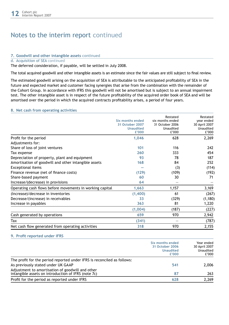# Notes to the interim report continued

#### **7. Goodwill and other intangible assets continued**

#### d. Acquisition of SEA continued

The deferred consideration, if payable, will be settled in July 2008.

The total acquired goodwill and other intangible assets is an estimate since the fair values are still subject to final review.

The estimated goodwill arising on the acquisition of SEA is attributable to the anticipated profitability of SEA in the future and expected market and customer facing synergies that arise from the combination with the remainder of the Cohort Group. In accordance with IFRS this goodwill will not be amortised but is subject to an annual impairment test. The other intangible asset is in respect of the future profitability of the acquired order book of SEA and will be amortised over the period in which the acquired contracts profitability arises, a period of four years.

#### **8. Net cash from operating activities**

|                                                          | Six months ended<br>31 October 2007<br><b>Unaudited</b><br>£'000 | Restated<br>six months ended<br>31 October 2006<br>Unaudited<br>£'000 | Restated<br>year ended<br>30 April 2007<br>Unaudited<br>£'000 |
|----------------------------------------------------------|------------------------------------------------------------------|-----------------------------------------------------------------------|---------------------------------------------------------------|
| Profit for the period                                    | 1,046                                                            | 628                                                                   | 2,269                                                         |
| Adjustments for:                                         |                                                                  |                                                                       |                                                               |
| Share of loss of joint ventures                          | 101                                                              | 116                                                                   | 242                                                           |
| Tax expense                                              | 260                                                              | 333                                                                   | 454                                                           |
| Depreciation of property, plant and equipment            | 93                                                               | 78                                                                    | 187                                                           |
| Amortisation of goodwill and other intangible assets     | 168                                                              | 84                                                                    | 252                                                           |
| <b>Exceptional items</b>                                 |                                                                  | (3)                                                                   | (114)                                                         |
| Finance revenue (net of finance costs)                   | (129)                                                            | (109)                                                                 | (192)                                                         |
| Share-based payment                                      | 60                                                               | 30                                                                    | 71                                                            |
| Increase/(decrease) in provisions                        | 64                                                               |                                                                       |                                                               |
| Operating cash flows before movements in working capital | 1,663                                                            | 1,157                                                                 | 3,169                                                         |
| (Increase)/decrease in inventories                       | (1,400)                                                          | 61                                                                    | (267)                                                         |
| Decrease/(increase) in receivables                       | 33                                                               | (329)                                                                 | (1, 180)                                                      |
| Increase in payables                                     | 363                                                              | 81                                                                    | 1,220                                                         |
|                                                          | (1,004)                                                          | (187)                                                                 | (227)                                                         |
| Cash generated by operations                             | 659                                                              | 970                                                                   | 2,942                                                         |
| Tax                                                      | (341)                                                            |                                                                       | (787)                                                         |
| Net cash flow generated from operating activities        | 318                                                              | 970                                                                   | 2,155                                                         |

#### **9. Profit reported under IFRS**

|                                                                                                         | Six months ended<br>31 October 2006<br><b>Unaudited</b><br>£'000 | Year ended<br>30 April 2007<br>Unaudited<br>£'000 |
|---------------------------------------------------------------------------------------------------------|------------------------------------------------------------------|---------------------------------------------------|
| The profit for the period reported under IFRS is reconciled as follows:                                 |                                                                  |                                                   |
| As previously stated under UK GAAP                                                                      | 541                                                              | 2.006                                             |
| Adjustment to amortisation of goodwill and other<br>intangible assets on introduction of IFRS (note 7c) | 87                                                               | 263                                               |
| Profit for the period as reported under IFRS                                                            | 628                                                              | 2,269                                             |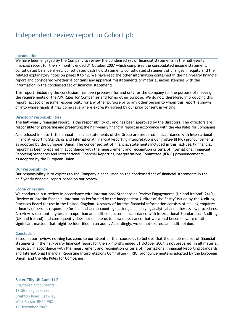# Independent review report to Cohort plc

#### **Introduction**

We have been engaged by the Company to review the condensed set of financial statements in the half-yearly financial report for the six months ended 31 October 2007 which comprises the consolidated income statement, consolidated balance sheet, consolidated cash flow statement, consolidated statement of changes in equity and the related explanatory notes on pages 8 to 12. We have read the other information contained in the half-yearly financial report and considered whether it contains any apparent misstatements or material inconsistencies with the information in the condensed set of financial statements.

This report, including the conclusion, has been prepared for and only for the Company for the purpose of meeting the requirements of the AIM Rules for Companies and for no other purpose. We do not, therefore, in producing this report, accept or assume responsibility for any other purpose or to any other person to whom this report is shown or into whose hands it may come save where expressly agreed by our prior consent in writing.

#### **Directors' responsibilities**

The half-yearly financial report, is the responsibility of, and has been approved by the directors. The directors are responsible for preparing and presenting the half-yearly financial report in accordance with the AIM Rules for Companies.

As disclosed in note 1, the annual financial statements of the Group are prepared in accordance with International Financial Reporting Standards and International Financial Reporting Interpretations Committee (IFRIC) pronouncements as adopted by the European Union. The condensed set of financial statements included in this half-yearly financial report has been prepared in accordance with the measurement and recognition criteria of International Financial Reporting Standards and International Financial Reporting Interpretations Committee (IFRIC) pronouncements, as adopted by the European Union.

#### **Our responsibility**

Our responsibility is to express to the Company a conclusion on the condensed set of financial statements in the half-yearly financial report based on our review.

#### **Scope of review**

We conducted our review in accordance with International Standard on Review Engagements (UK and Ireland) 2410, 'Review of Interim Financial Information Performed by the Independent Auditor of the Entity' issued by the Auditing Practices Board for use in the United Kingdom. A review of interim financial information consists of making enquiries, primarily of persons responsible for financial and accounting matters, and applying analytical and other review procedures. A review is substantially less in scope than an audit conducted in accordance with International Standards on Auditing (UK and Ireland) and consequently does not enable us to obtain assurance that we would become aware of all significant matters that might be identified in an audit. Accordingly, we do not express an audit opinion.

#### **Conclusion**

Based on our review, nothing has come to our attention that causes us to believe that the condensed set of financial statements in the half-yearly financial report for the six months ended 31 October 2007 is not prepared, in all material respects, in accordance with the measurement and recognition criteria of International Financial Reporting Standards and International Financial Reporting Interpretations Committee (IFRIC) pronouncements as adopted by the European Union, and the AIM Rules for Companies.

#### **Baker Tilly UK Audit LLP**

Chartered Accountants 12 Gleneagles Court Brighton Road, Crawley West Sussex RH11 9BX 12 December 2007